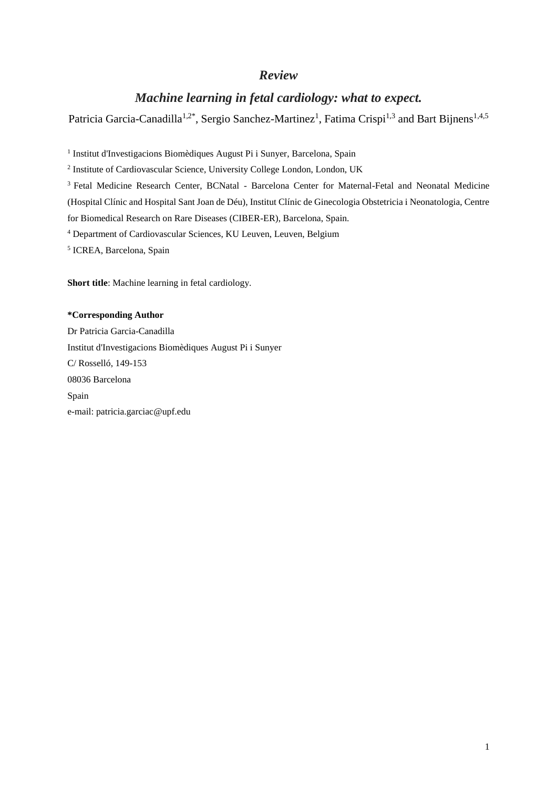## *Review*

# *Machine learning in fetal cardiology: what to expect.*

Patricia Garcia-Canadilla<sup>1,2\*</sup>, Sergio Sanchez-Martinez<sup>1</sup>, Fatima Crispi<sup>1,3</sup> and Bart Bijnens<sup>1,4,5</sup>

<sup>1</sup> Institut d'Investigacions Biomèdiques August Pi i Sunyer, Barcelona, Spain

<sup>2</sup> Institute of Cardiovascular Science, University College London, London, UK

<sup>3</sup> Fetal Medicine Research Center, BCNatal - Barcelona Center for Maternal-Fetal and Neonatal Medicine (Hospital Clínic and Hospital Sant Joan de Déu), Institut Clínic de Ginecologia Obstetricia i Neonatologia, Centre for Biomedical Research on Rare Diseases (CIBER-ER), Barcelona, Spain.

<sup>4</sup> Department of Cardiovascular Sciences, KU Leuven, Leuven, Belgium

<sup>5</sup> ICREA, Barcelona, Spain

**Short title**: Machine learning in fetal cardiology.

## **\*Corresponding Author**

Dr Patricia Garcia-Canadilla Institut d'Investigacions Biomèdiques August Pi i Sunyer C/ Rosselló, 149-153 08036 Barcelona Spain e-mail: patricia.garciac@upf.edu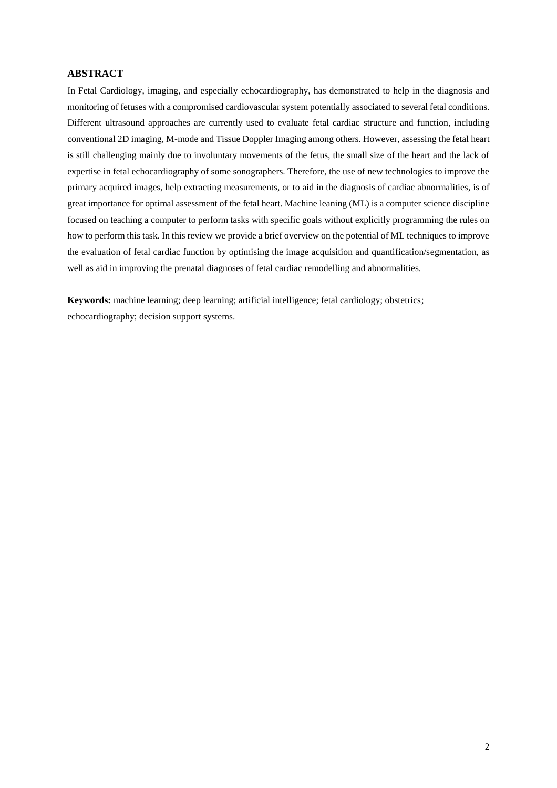## **ABSTRACT**

In Fetal Cardiology, imaging, and especially echocardiography, has demonstrated to help in the diagnosis and monitoring of fetuses with a compromised cardiovascular system potentially associated to several fetal conditions. Different ultrasound approaches are currently used to evaluate fetal cardiac structure and function, including conventional 2D imaging, M-mode and Tissue Doppler Imaging among others. However, assessing the fetal heart is still challenging mainly due to involuntary movements of the fetus, the small size of the heart and the lack of expertise in fetal echocardiography of some sonographers. Therefore, the use of new technologies to improve the primary acquired images, help extracting measurements, or to aid in the diagnosis of cardiac abnormalities, is of great importance for optimal assessment of the fetal heart. Machine leaning (ML) is a computer science discipline focused on teaching a computer to perform tasks with specific goals without explicitly programming the rules on how to perform this task. In this review we provide a brief overview on the potential of ML techniques to improve the evaluation of fetal cardiac function by optimising the image acquisition and quantification/segmentation, as well as aid in improving the prenatal diagnoses of fetal cardiac remodelling and abnormalities.

**Keywords:** machine learning; deep learning; artificial intelligence; fetal cardiology; obstetrics; echocardiography; decision support systems.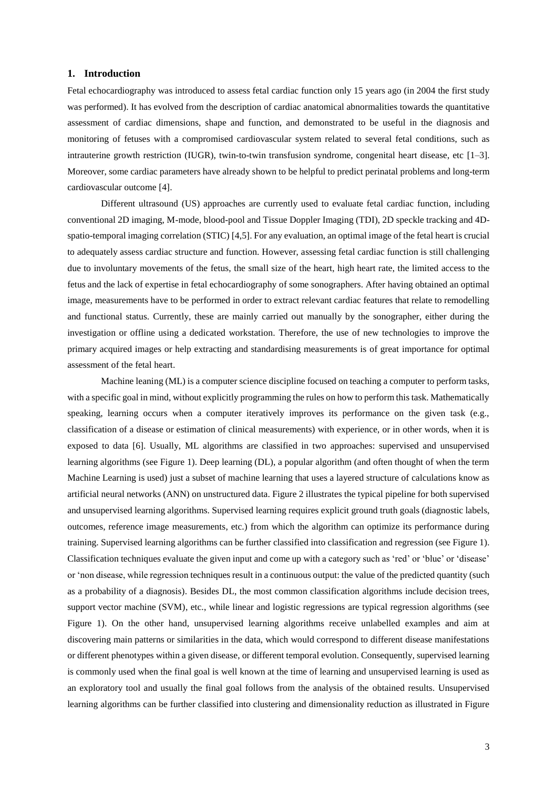#### **1. Introduction**

Fetal echocardiography was introduced to assess fetal cardiac function only 15 years ago (in 2004 the first study was performed). It has evolved from the description of cardiac anatomical abnormalities towards the quantitative assessment of cardiac dimensions, shape and function, and demonstrated to be useful in the diagnosis and monitoring of fetuses with a compromised cardiovascular system related to several fetal conditions, such as intrauterine growth restriction (IUGR), twin-to-twin transfusion syndrome, congenital heart disease, etc [1–3]. Moreover, some cardiac parameters have already shown to be helpful to predict perinatal problems and long-term cardiovascular outcome [4].

Different ultrasound (US) approaches are currently used to evaluate fetal cardiac function, including conventional 2D imaging, M-mode, blood-pool and Tissue Doppler Imaging (TDI), 2D speckle tracking and 4Dspatio-temporal imaging correlation (STIC) [4,5]. For any evaluation, an optimal image of the fetal heart is crucial to adequately assess cardiac structure and function. However, assessing fetal cardiac function is still challenging due to involuntary movements of the fetus, the small size of the heart, high heart rate, the limited access to the fetus and the lack of expertise in fetal echocardiography of some sonographers. After having obtained an optimal image, measurements have to be performed in order to extract relevant cardiac features that relate to remodelling and functional status. Currently, these are mainly carried out manually by the sonographer, either during the investigation or offline using a dedicated workstation. Therefore, the use of new technologies to improve the primary acquired images or help extracting and standardising measurements is of great importance for optimal assessment of the fetal heart.

Machine leaning (ML) is a computer science discipline focused on teaching a computer to perform tasks, with a specific goal in mind, without explicitly programming the rules on how to perform this task. Mathematically speaking, learning occurs when a computer iteratively improves its performance on the given task (e.g., classification of a disease or estimation of clinical measurements) with experience, or in other words, when it is exposed to data [6]. Usually, ML algorithms are classified in two approaches: supervised and unsupervised learning algorithms (see Figure 1). Deep learning (DL), a popular algorithm (and often thought of when the term Machine Learning is used) just a subset of machine learning that uses a layered structure of calculations know as artificial neural networks (ANN) on unstructured data. Figure 2 illustrates the typical pipeline for both supervised and unsupervised learning algorithms. Supervised learning requires explicit ground truth goals (diagnostic labels, outcomes, reference image measurements, etc.) from which the algorithm can optimize its performance during training. Supervised learning algorithms can be further classified into classification and regression (see Figure 1). Classification techniques evaluate the given input and come up with a category such as 'red' or 'blue' or 'disease' or 'non disease, while regression techniques result in a continuous output: the value of the predicted quantity (such as a probability of a diagnosis). Besides DL, the most common classification algorithms include decision trees, support vector machine (SVM), etc., while linear and logistic regressions are typical regression algorithms (see Figure 1). On the other hand, unsupervised learning algorithms receive unlabelled examples and aim at discovering main patterns or similarities in the data, which would correspond to different disease manifestations or different phenotypes within a given disease, or different temporal evolution. Consequently, supervised learning is commonly used when the final goal is well known at the time of learning and unsupervised learning is used as an exploratory tool and usually the final goal follows from the analysis of the obtained results. Unsupervised learning algorithms can be further classified into clustering and dimensionality reduction as illustrated in Figure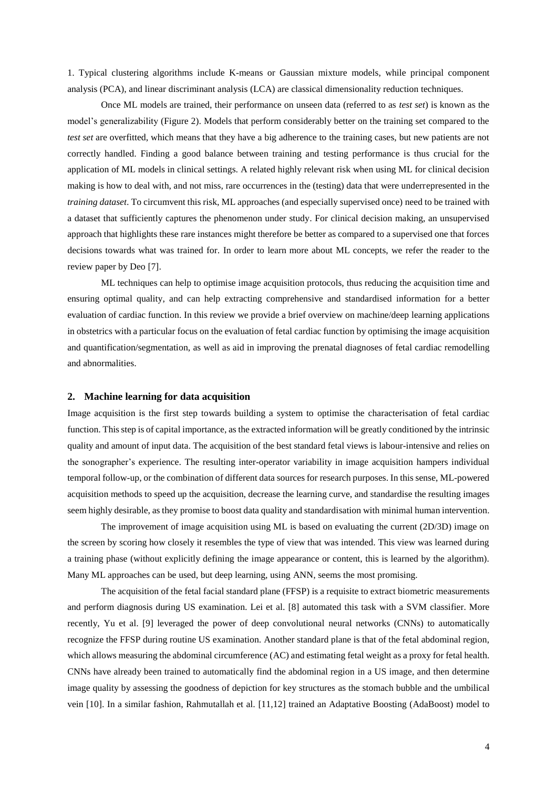1. Typical clustering algorithms include K-means or Gaussian mixture models, while principal component analysis (PCA), and linear discriminant analysis (LCA) are classical dimensionality reduction techniques.

Once ML models are trained, their performance on unseen data (referred to as *test set*) is known as the model's generalizability (Figure 2). Models that perform considerably better on the training set compared to the *test set* are overfitted, which means that they have a big adherence to the training cases, but new patients are not correctly handled. Finding a good balance between training and testing performance is thus crucial for the application of ML models in clinical settings. A related highly relevant risk when using ML for clinical decision making is how to deal with, and not miss, rare occurrences in the (testing) data that were underrepresented in the *training dataset*. To circumvent this risk, ML approaches (and especially supervised once) need to be trained with a dataset that sufficiently captures the phenomenon under study. For clinical decision making, an unsupervised approach that highlights these rare instances might therefore be better as compared to a supervised one that forces decisions towards what was trained for. In order to learn more about ML concepts, we refer the reader to the review paper by Deo [7].

ML techniques can help to optimise image acquisition protocols, thus reducing the acquisition time and ensuring optimal quality, and can help extracting comprehensive and standardised information for a better evaluation of cardiac function. In this review we provide a brief overview on machine/deep learning applications in obstetrics with a particular focus on the evaluation of fetal cardiac function by optimising the image acquisition and quantification/segmentation, as well as aid in improving the prenatal diagnoses of fetal cardiac remodelling and abnormalities.

#### **2. Machine learning for data acquisition**

Image acquisition is the first step towards building a system to optimise the characterisation of fetal cardiac function. This step is of capital importance, as the extracted information will be greatly conditioned by the intrinsic quality and amount of input data. The acquisition of the best standard fetal views is labour-intensive and relies on the sonographer's experience. The resulting inter-operator variability in image acquisition hampers individual temporal follow-up, or the combination of different data sources for research purposes. In this sense, ML-powered acquisition methods to speed up the acquisition, decrease the learning curve, and standardise the resulting images seem highly desirable, as they promise to boost data quality and standardisation with minimal human intervention.

The improvement of image acquisition using ML is based on evaluating the current (2D/3D) image on the screen by scoring how closely it resembles the type of view that was intended. This view was learned during a training phase (without explicitly defining the image appearance or content, this is learned by the algorithm). Many ML approaches can be used, but deep learning, using ANN, seems the most promising.

The acquisition of the fetal facial standard plane (FFSP) is a requisite to extract biometric measurements and perform diagnosis during US examination. Lei et al. [8] automated this task with a SVM classifier. More recently, Yu et al. [9] leveraged the power of deep convolutional neural networks (CNNs) to automatically recognize the FFSP during routine US examination. Another standard plane is that of the fetal abdominal region, which allows measuring the abdominal circumference (AC) and estimating fetal weight as a proxy for fetal health. CNNs have already been trained to automatically find the abdominal region in a US image, and then determine image quality by assessing the goodness of depiction for key structures as the stomach bubble and the umbilical vein [10]. In a similar fashion, Rahmutallah et al. [11,12] trained an Adaptative Boosting (AdaBoost) model to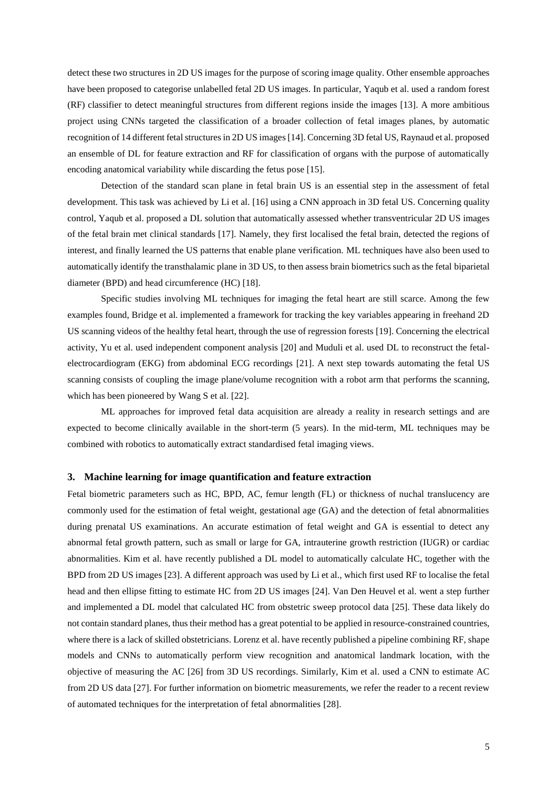detect these two structures in 2D US images for the purpose of scoring image quality. Other ensemble approaches have been proposed to categorise unlabelled fetal 2D US images. In particular, Yaqub et al. used a random forest (RF) classifier to detect meaningful structures from different regions inside the images [13]. A more ambitious project using CNNs targeted the classification of a broader collection of fetal images planes, by automatic recognition of 14 different fetal structures in 2D US images[14]. Concerning 3D fetal US, Raynaud et al. proposed an ensemble of DL for feature extraction and RF for classification of organs with the purpose of automatically encoding anatomical variability while discarding the fetus pose [15].

Detection of the standard scan plane in fetal brain US is an essential step in the assessment of fetal development. This task was achieved by Li et al. [16] using a CNN approach in 3D fetal US. Concerning quality control, Yaqub et al. proposed a DL solution that automatically assessed whether transventricular 2D US images of the fetal brain met clinical standards [17]. Namely, they first localised the fetal brain, detected the regions of interest, and finally learned the US patterns that enable plane verification. ML techniques have also been used to automatically identify the transthalamic plane in 3D US, to then assess brain biometrics such as the fetal biparietal diameter (BPD) and head circumference (HC) [18].

Specific studies involving ML techniques for imaging the fetal heart are still scarce. Among the few examples found, Bridge et al. implemented a framework for tracking the key variables appearing in freehand 2D US scanning videos of the healthy fetal heart, through the use of regression forests [19]. Concerning the electrical activity, Yu et al. used independent component analysis [20] and Muduli et al. used DL to reconstruct the fetalelectrocardiogram (EKG) from abdominal ECG recordings [21]. A next step towards automating the fetal US scanning consists of coupling the image plane/volume recognition with a robot arm that performs the scanning, which has been pioneered by Wang S et al. [22].

ML approaches for improved fetal data acquisition are already a reality in research settings and are expected to become clinically available in the short-term (5 years). In the mid-term, ML techniques may be combined with robotics to automatically extract standardised fetal imaging views.

#### **3. Machine learning for image quantification and feature extraction**

Fetal biometric parameters such as HC, BPD, AC, femur length (FL) or thickness of nuchal translucency are commonly used for the estimation of fetal weight, gestational age (GA) and the detection of fetal abnormalities during prenatal US examinations. An accurate estimation of fetal weight and GA is essential to detect any abnormal fetal growth pattern, such as small or large for GA, intrauterine growth restriction (IUGR) or cardiac abnormalities. Kim et al. have recently published a DL model to automatically calculate HC, together with the BPD from 2D US images [23]. A different approach was used by Li et al., which first used RF to localise the fetal head and then ellipse fitting to estimate HC from 2D US images [24]. Van Den Heuvel et al. went a step further and implemented a DL model that calculated HC from obstetric sweep protocol data [25]. These data likely do not contain standard planes, thus their method has a great potential to be applied in resource-constrained countries, where there is a lack of skilled obstetricians. Lorenz et al. have recently published a pipeline combining RF, shape models and CNNs to automatically perform view recognition and anatomical landmark location, with the objective of measuring the AC [26] from 3D US recordings. Similarly, Kim et al. used a CNN to estimate AC from 2D US data [27]. For further information on biometric measurements, we refer the reader to a recent review of automated techniques for the interpretation of fetal abnormalities [28].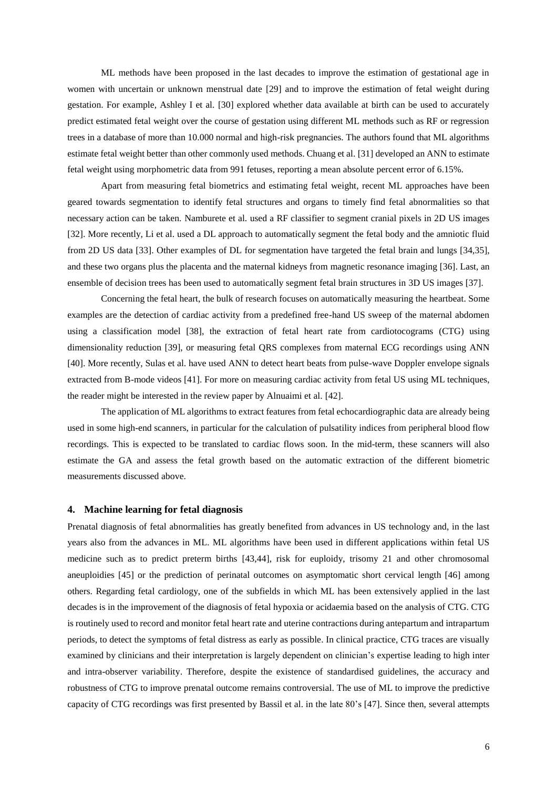ML methods have been proposed in the last decades to improve the estimation of gestational age in women with uncertain or unknown menstrual date [29] and to improve the estimation of fetal weight during gestation. For example, Ashley I et al. [30] explored whether data available at birth can be used to accurately predict estimated fetal weight over the course of gestation using different ML methods such as RF or regression trees in a database of more than 10.000 normal and high-risk pregnancies. The authors found that ML algorithms estimate fetal weight better than other commonly used methods. Chuang et al. [31] developed an ANN to estimate fetal weight using morphometric data from 991 fetuses, reporting a mean absolute percent error of 6.15%.

Apart from measuring fetal biometrics and estimating fetal weight, recent ML approaches have been geared towards segmentation to identify fetal structures and organs to timely find fetal abnormalities so that necessary action can be taken. Namburete et al. used a RF classifier to segment cranial pixels in 2D US images [32]. More recently, Li et al. used a DL approach to automatically segment the fetal body and the amniotic fluid from 2D US data [33]. Other examples of DL for segmentation have targeted the fetal brain and lungs [34,35], and these two organs plus the placenta and the maternal kidneys from magnetic resonance imaging [36]. Last, an ensemble of decision trees has been used to automatically segment fetal brain structures in 3D US images [37].

Concerning the fetal heart, the bulk of research focuses on automatically measuring the heartbeat. Some examples are the detection of cardiac activity from a predefined free-hand US sweep of the maternal abdomen using a classification model [38], the extraction of fetal heart rate from cardiotocograms (CTG) using dimensionality reduction [39], or measuring fetal QRS complexes from maternal ECG recordings using ANN [40]. More recently, Sulas et al. have used ANN to detect heart beats from pulse-wave Doppler envelope signals extracted from B-mode videos [41]. For more on measuring cardiac activity from fetal US using ML techniques, the reader might be interested in the review paper by Alnuaimi et al. [42].

The application of ML algorithms to extract features from fetal echocardiographic data are already being used in some high-end scanners, in particular for the calculation of pulsatility indices from peripheral blood flow recordings. This is expected to be translated to cardiac flows soon. In the mid-term, these scanners will also estimate the GA and assess the fetal growth based on the automatic extraction of the different biometric measurements discussed above.

#### **4. Machine learning for fetal diagnosis**

Prenatal diagnosis of fetal abnormalities has greatly benefited from advances in US technology and, in the last years also from the advances in ML. ML algorithms have been used in different applications within fetal US medicine such as to predict preterm births [43,44], risk for euploidy, trisomy 21 and other chromosomal aneuploidies [45] or the prediction of perinatal outcomes on asymptomatic short cervical length [46] among others. Regarding fetal cardiology, one of the subfields in which ML has been extensively applied in the last decades is in the improvement of the diagnosis of fetal hypoxia or acidaemia based on the analysis of CTG. CTG is routinely used to record and monitor fetal heart rate and uterine contractions during antepartum and intrapartum periods, to detect the symptoms of fetal distress as early as possible. In clinical practice, CTG traces are visually examined by clinicians and their interpretation is largely dependent on clinician's expertise leading to high inter and intra-observer variability. Therefore, despite the existence of standardised guidelines, the accuracy and robustness of CTG to improve prenatal outcome remains controversial. The use of ML to improve the predictive capacity of CTG recordings was first presented by Bassil et al. in the late 80's [47]. Since then, several attempts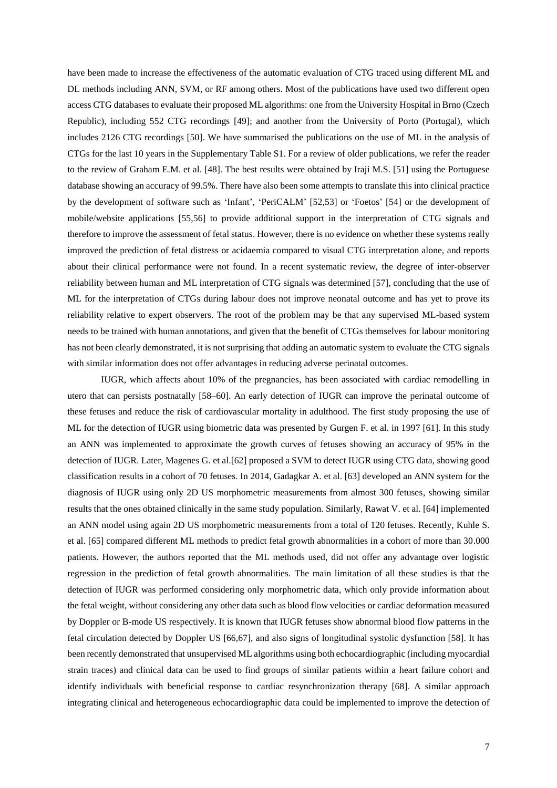have been made to increase the effectiveness of the automatic evaluation of CTG traced using different ML and DL methods including ANN, SVM, or RF among others. Most of the publications have used two different open access CTG databases to evaluate their proposed ML algorithms: one from the University Hospital in Brno (Czech Republic), including 552 CTG recordings [49]; and another from the University of Porto (Portugal), which includes 2126 CTG recordings [50]. We have summarised the publications on the use of ML in the analysis of CTGs for the last 10 years in the Supplementary Table S1. For a review of older publications, we refer the reader to the review of Graham E.M. et al. [48]. The best results were obtained by Iraji M.S. [51] using the Portuguese database showing an accuracy of 99.5%. There have also been some attempts to translate this into clinical practice by the development of software such as 'Infant', 'PeriCALM' [52,53] or 'Foetos' [54] or the development of mobile/website applications [55,56] to provide additional support in the interpretation of CTG signals and therefore to improve the assessment of fetal status. However, there is no evidence on whether these systems really improved the prediction of fetal distress or acidaemia compared to visual CTG interpretation alone, and reports about their clinical performance were not found. In a recent systematic review, the degree of inter-observer reliability between human and ML interpretation of CTG signals was determined [57], concluding that the use of ML for the interpretation of CTGs during labour does not improve neonatal outcome and has yet to prove its reliability relative to expert observers. The root of the problem may be that any supervised ML-based system needs to be trained with human annotations, and given that the benefit of CTGs themselves for labour monitoring has not been clearly demonstrated, it is not surprising that adding an automatic system to evaluate the CTG signals with similar information does not offer advantages in reducing adverse perinatal outcomes.

IUGR, which affects about 10% of the pregnancies, has been associated with cardiac remodelling in utero that can persists postnatally [58–60]. An early detection of IUGR can improve the perinatal outcome of these fetuses and reduce the risk of cardiovascular mortality in adulthood. The first study proposing the use of ML for the detection of IUGR using biometric data was presented by Gurgen F. et al. in 1997 [61]. In this study an ANN was implemented to approximate the growth curves of fetuses showing an accuracy of 95% in the detection of IUGR. Later, Magenes G. et al.[62] proposed a SVM to detect IUGR using CTG data, showing good classification results in a cohort of 70 fetuses. In 2014, Gadagkar A. et al. [63] developed an ANN system for the diagnosis of IUGR using only 2D US morphometric measurements from almost 300 fetuses, showing similar results that the ones obtained clinically in the same study population. Similarly, Rawat V. et al. [64] implemented an ANN model using again 2D US morphometric measurements from a total of 120 fetuses. Recently, Kuhle S. et al. [65] compared different ML methods to predict fetal growth abnormalities in a cohort of more than 30.000 patients. However, the authors reported that the ML methods used, did not offer any advantage over logistic regression in the prediction of fetal growth abnormalities. The main limitation of all these studies is that the detection of IUGR was performed considering only morphometric data, which only provide information about the fetal weight, without considering any other data such as blood flow velocities or cardiac deformation measured by Doppler or B-mode US respectively. It is known that IUGR fetuses show abnormal blood flow patterns in the fetal circulation detected by Doppler US [66,67], and also signs of longitudinal systolic dysfunction [58]. It has been recently demonstrated that unsupervised ML algorithms using both echocardiographic (including myocardial strain traces) and clinical data can be used to find groups of similar patients within a heart failure cohort and identify individuals with beneficial response to cardiac resynchronization therapy [68]. A similar approach integrating clinical and heterogeneous echocardiographic data could be implemented to improve the detection of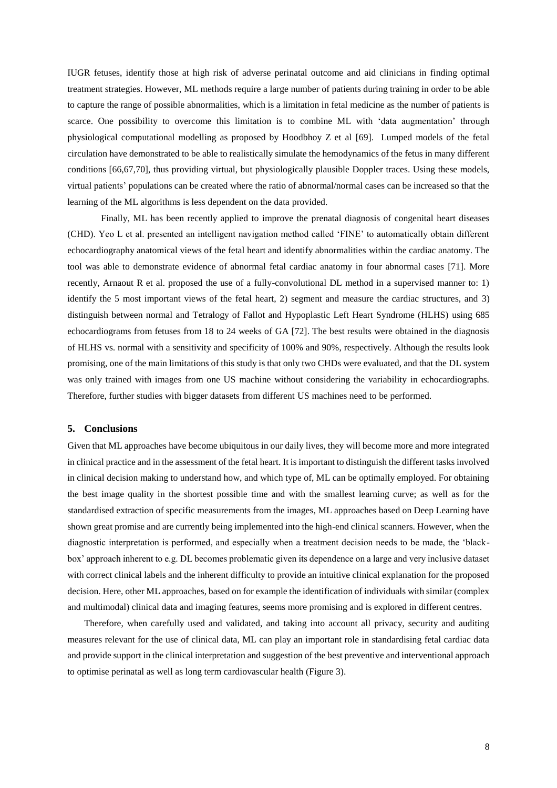IUGR fetuses, identify those at high risk of adverse perinatal outcome and aid clinicians in finding optimal treatment strategies. However, ML methods require a large number of patients during training in order to be able to capture the range of possible abnormalities, which is a limitation in fetal medicine as the number of patients is scarce. One possibility to overcome this limitation is to combine ML with 'data augmentation' through physiological computational modelling as proposed by Hoodbhoy Z et al [69]. Lumped models of the fetal circulation have demonstrated to be able to realistically simulate the hemodynamics of the fetus in many different conditions [66,67,70], thus providing virtual, but physiologically plausible Doppler traces. Using these models, virtual patients' populations can be created where the ratio of abnormal/normal cases can be increased so that the learning of the ML algorithms is less dependent on the data provided.

Finally, ML has been recently applied to improve the prenatal diagnosis of congenital heart diseases (CHD). Yeo L et al. presented an intelligent navigation method called 'FINE' to automatically obtain different echocardiography anatomical views of the fetal heart and identify abnormalities within the cardiac anatomy. The tool was able to demonstrate evidence of abnormal fetal cardiac anatomy in four abnormal cases [71]. More recently, Arnaout R et al. proposed the use of a fully-convolutional DL method in a supervised manner to: 1) identify the 5 most important views of the fetal heart, 2) segment and measure the cardiac structures, and 3) distinguish between normal and Tetralogy of Fallot and Hypoplastic Left Heart Syndrome (HLHS) using 685 echocardiograms from fetuses from 18 to 24 weeks of GA [72]. The best results were obtained in the diagnosis of HLHS vs. normal with a sensitivity and specificity of 100% and 90%, respectively. Although the results look promising, one of the main limitations of this study is that only two CHDs were evaluated, and that the DL system was only trained with images from one US machine without considering the variability in echocardiographs. Therefore, further studies with bigger datasets from different US machines need to be performed.

#### **5. Conclusions**

Given that ML approaches have become ubiquitous in our daily lives, they will become more and more integrated in clinical practice and in the assessment of the fetal heart. It is important to distinguish the different tasks involved in clinical decision making to understand how, and which type of, ML can be optimally employed. For obtaining the best image quality in the shortest possible time and with the smallest learning curve; as well as for the standardised extraction of specific measurements from the images, ML approaches based on Deep Learning have shown great promise and are currently being implemented into the high-end clinical scanners. However, when the diagnostic interpretation is performed, and especially when a treatment decision needs to be made, the 'blackbox' approach inherent to e.g. DL becomes problematic given its dependence on a large and very inclusive dataset with correct clinical labels and the inherent difficulty to provide an intuitive clinical explanation for the proposed decision. Here, other ML approaches, based on for example the identification of individuals with similar (complex and multimodal) clinical data and imaging features, seems more promising and is explored in different centres.

Therefore, when carefully used and validated, and taking into account all privacy, security and auditing measures relevant for the use of clinical data, ML can play an important role in standardising fetal cardiac data and provide support in the clinical interpretation and suggestion of the best preventive and interventional approach to optimise perinatal as well as long term cardiovascular health (Figure 3).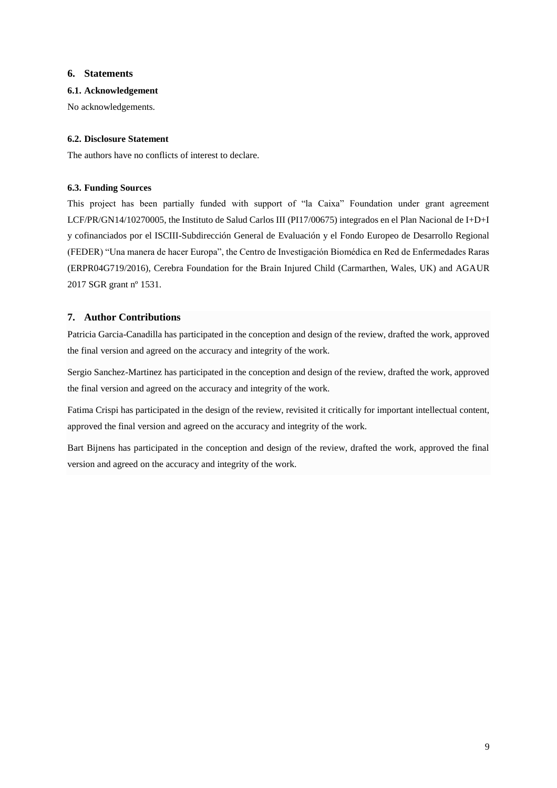## **6. Statements**

## **6.1. Acknowledgement**

No acknowledgements.

## **6.2. Disclosure Statement**

The authors have no conflicts of interest to declare.

## **6.3. Funding Sources**

This project has been partially funded with support of "la Caixa" Foundation under grant agreement LCF/PR/GN14/10270005, the Instituto de Salud Carlos III (PI17/00675) integrados en el Plan Nacional de I+D+I y cofinanciados por el ISCIII-Subdirección General de Evaluación y el Fondo Europeo de Desarrollo Regional (FEDER) "Una manera de hacer Europa", the Centro de Investigación Biomédica en Red de Enfermedades Raras (ERPR04G719/2016), Cerebra Foundation for the Brain Injured Child (Carmarthen, Wales, UK) and AGAUR 2017 SGR grant nº 1531.

## **7. Author Contributions**

Patricia Garcia-Canadilla has participated in the conception and design of the review, drafted the work, approved the final version and agreed on the accuracy and integrity of the work.

Sergio Sanchez-Martinez has participated in the conception and design of the review, drafted the work, approved the final version and agreed on the accuracy and integrity of the work.

Fatima Crispi has participated in the design of the review, revisited it critically for important intellectual content, approved the final version and agreed on the accuracy and integrity of the work.

Bart Bijnens has participated in the conception and design of the review, drafted the work, approved the final version and agreed on the accuracy and integrity of the work.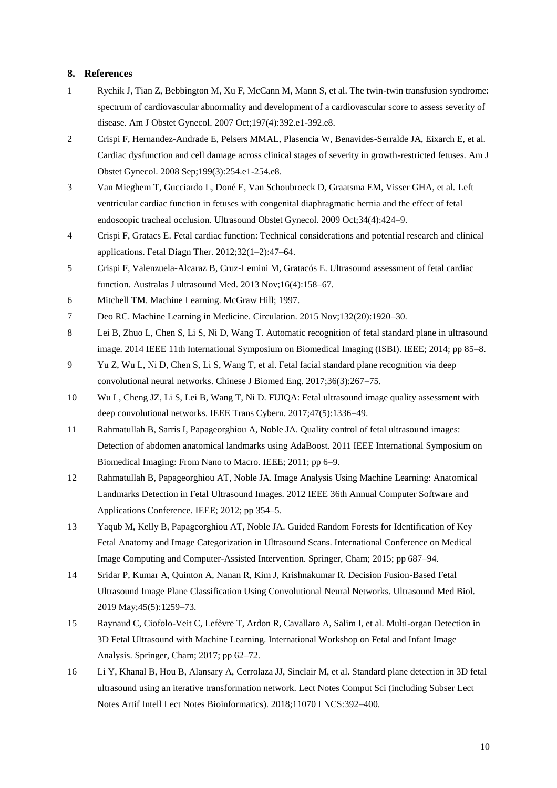### **8. References**

- 1 Rychik J, Tian Z, Bebbington M, Xu F, McCann M, Mann S, et al. The twin-twin transfusion syndrome: spectrum of cardiovascular abnormality and development of a cardiovascular score to assess severity of disease. Am J Obstet Gynecol. 2007 Oct;197(4):392.e1-392.e8.
- 2 Crispi F, Hernandez-Andrade E, Pelsers MMAL, Plasencia W, Benavides-Serralde JA, Eixarch E, et al. Cardiac dysfunction and cell damage across clinical stages of severity in growth-restricted fetuses. Am J Obstet Gynecol. 2008 Sep;199(3):254.e1-254.e8.
- 3 Van Mieghem T, Gucciardo L, Doné E, Van Schoubroeck D, Graatsma EM, Visser GHA, et al. Left ventricular cardiac function in fetuses with congenital diaphragmatic hernia and the effect of fetal endoscopic tracheal occlusion. Ultrasound Obstet Gynecol. 2009 Oct;34(4):424–9.
- 4 Crispi F, Gratacs E. Fetal cardiac function: Technical considerations and potential research and clinical applications. Fetal Diagn Ther. 2012;32(1–2):47–64.
- 5 Crispi F, Valenzuela-Alcaraz B, Cruz-Lemini M, Gratacós E. Ultrasound assessment of fetal cardiac function. Australas J ultrasound Med. 2013 Nov;16(4):158–67.
- 6 Mitchell TM. Machine Learning. McGraw Hill; 1997.
- 7 Deo RC. Machine Learning in Medicine. Circulation. 2015 Nov;132(20):1920–30.
- 8 Lei B, Zhuo L, Chen S, Li S, Ni D, Wang T. Automatic recognition of fetal standard plane in ultrasound image. 2014 IEEE 11th International Symposium on Biomedical Imaging (ISBI). IEEE; 2014; pp 85–8.
- 9 Yu Z, Wu L, Ni D, Chen S, Li S, Wang T, et al. Fetal facial standard plane recognition via deep convolutional neural networks. Chinese J Biomed Eng. 2017;36(3):267–75.
- 10 Wu L, Cheng JZ, Li S, Lei B, Wang T, Ni D. FUIQA: Fetal ultrasound image quality assessment with deep convolutional networks. IEEE Trans Cybern. 2017;47(5):1336–49.
- 11 Rahmatullah B, Sarris I, Papageorghiou A, Noble JA. Quality control of fetal ultrasound images: Detection of abdomen anatomical landmarks using AdaBoost. 2011 IEEE International Symposium on Biomedical Imaging: From Nano to Macro. IEEE; 2011; pp 6–9.
- 12 Rahmatullah B, Papageorghiou AT, Noble JA. Image Analysis Using Machine Learning: Anatomical Landmarks Detection in Fetal Ultrasound Images. 2012 IEEE 36th Annual Computer Software and Applications Conference. IEEE; 2012; pp 354–5.
- 13 Yaqub M, Kelly B, Papageorghiou AT, Noble JA. Guided Random Forests for Identification of Key Fetal Anatomy and Image Categorization in Ultrasound Scans. International Conference on Medical Image Computing and Computer-Assisted Intervention. Springer, Cham; 2015; pp 687–94.
- 14 Sridar P, Kumar A, Quinton A, Nanan R, Kim J, Krishnakumar R. Decision Fusion-Based Fetal Ultrasound Image Plane Classification Using Convolutional Neural Networks. Ultrasound Med Biol. 2019 May;45(5):1259–73.
- 15 Raynaud C, Ciofolo-Veit C, Lefèvre T, Ardon R, Cavallaro A, Salim I, et al. Multi-organ Detection in 3D Fetal Ultrasound with Machine Learning. International Workshop on Fetal and Infant Image Analysis. Springer, Cham; 2017; pp 62–72.
- 16 Li Y, Khanal B, Hou B, Alansary A, Cerrolaza JJ, Sinclair M, et al. Standard plane detection in 3D fetal ultrasound using an iterative transformation network. Lect Notes Comput Sci (including Subser Lect Notes Artif Intell Lect Notes Bioinformatics). 2018;11070 LNCS:392–400.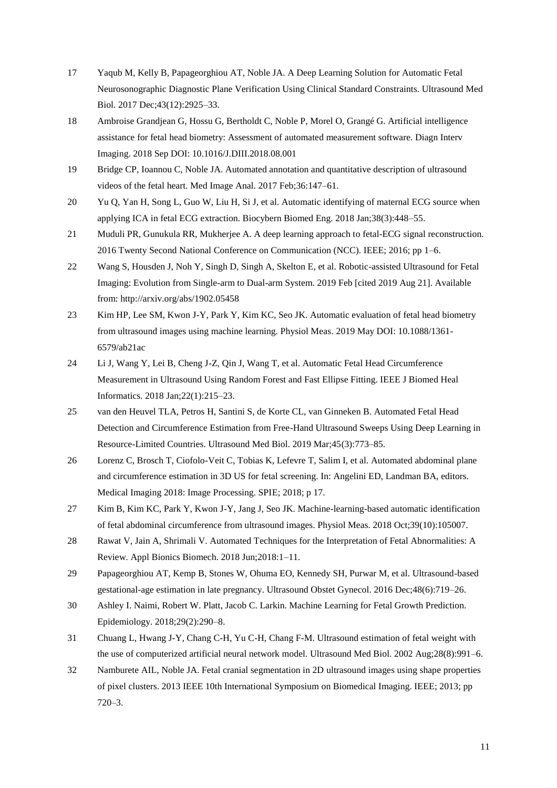- 17 Yaqub M, Kelly B, Papageorghiou AT, Noble JA. A Deep Learning Solution for Automatic Fetal Neurosonographic Diagnostic Plane Verification Using Clinical Standard Constraints. Ultrasound Med Biol. 2017 Dec;43(12):2925–33.
- 18 Ambroise Grandjean G, Hossu G, Bertholdt C, Noble P, Morel O, Grangé G. Artificial intelligence assistance for fetal head biometry: Assessment of automated measurement software. Diagn Interv Imaging. 2018 Sep DOI: 10.1016/J.DIII.2018.08.001
- 19 Bridge CP, Ioannou C, Noble JA. Automated annotation and quantitative description of ultrasound videos of the fetal heart. Med Image Anal. 2017 Feb;36:147–61.
- 20 Yu Q, Yan H, Song L, Guo W, Liu H, Si J, et al. Automatic identifying of maternal ECG source when applying ICA in fetal ECG extraction. Biocybern Biomed Eng. 2018 Jan;38(3):448–55.
- 21 Muduli PR, Gunukula RR, Mukherjee A. A deep learning approach to fetal-ECG signal reconstruction. 2016 Twenty Second National Conference on Communication (NCC). IEEE; 2016; pp 1–6.
- 22 Wang S, Housden J, Noh Y, Singh D, Singh A, Skelton E, et al. Robotic-assisted Ultrasound for Fetal Imaging: Evolution from Single-arm to Dual-arm System. 2019 Feb [cited 2019 Aug 21]. Available from: http://arxiv.org/abs/1902.05458
- 23 Kim HP, Lee SM, Kwon J-Y, Park Y, Kim KC, Seo JK. Automatic evaluation of fetal head biometry from ultrasound images using machine learning. Physiol Meas. 2019 May DOI: 10.1088/1361- 6579/ab21ac
- 24 Li J, Wang Y, Lei B, Cheng J-Z, Qin J, Wang T, et al. Automatic Fetal Head Circumference Measurement in Ultrasound Using Random Forest and Fast Ellipse Fitting. IEEE J Biomed Heal Informatics. 2018 Jan;22(1):215–23.
- 25 van den Heuvel TLA, Petros H, Santini S, de Korte CL, van Ginneken B. Automated Fetal Head Detection and Circumference Estimation from Free-Hand Ultrasound Sweeps Using Deep Learning in Resource-Limited Countries. Ultrasound Med Biol. 2019 Mar;45(3):773–85.
- 26 Lorenz C, Brosch T, Ciofolo-Veit C, Tobias K, Lefevre T, Salim I, et al. Automated abdominal plane and circumference estimation in 3D US for fetal screening. In: Angelini ED, Landman BA, editors. Medical Imaging 2018: Image Processing. SPIE; 2018; p 17.
- 27 Kim B, Kim KC, Park Y, Kwon J-Y, Jang J, Seo JK. Machine-learning-based automatic identification of fetal abdominal circumference from ultrasound images. Physiol Meas. 2018 Oct;39(10):105007.
- 28 Rawat V, Jain A, Shrimali V. Automated Techniques for the Interpretation of Fetal Abnormalities: A Review. Appl Bionics Biomech. 2018 Jun;2018:1–11.
- 29 Papageorghiou AT, Kemp B, Stones W, Ohuma EO, Kennedy SH, Purwar M, et al. Ultrasound-based gestational-age estimation in late pregnancy. Ultrasound Obstet Gynecol. 2016 Dec;48(6):719–26.
- 30 Ashley I. Naimi, Robert W. Platt, Jacob C. Larkin. Machine Learning for Fetal Growth Prediction. Epidemiology. 2018;29(2):290–8.
- 31 Chuang L, Hwang J-Y, Chang C-H, Yu C-H, Chang F-M. Ultrasound estimation of fetal weight with the use of computerized artificial neural network model. Ultrasound Med Biol. 2002 Aug;28(8):991–6.
- 32 Namburete AIL, Noble JA. Fetal cranial segmentation in 2D ultrasound images using shape properties of pixel clusters. 2013 IEEE 10th International Symposium on Biomedical Imaging. IEEE; 2013; pp 720–3.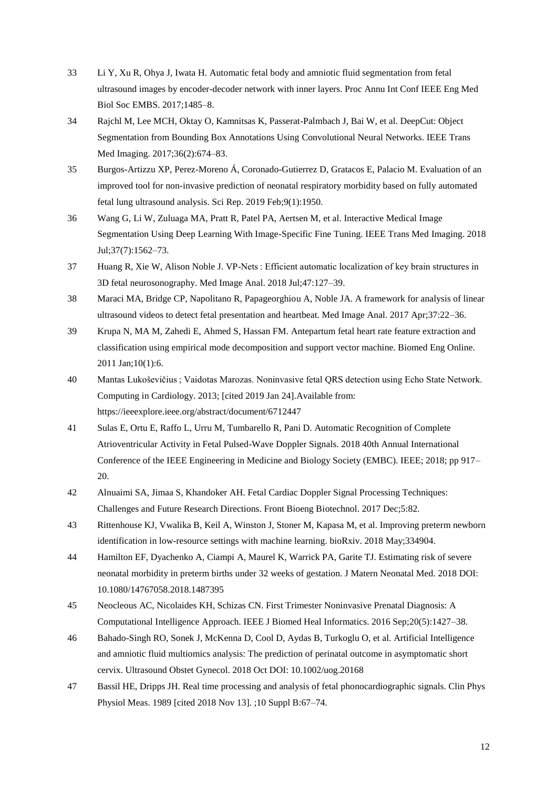- 33 Li Y, Xu R, Ohya J, Iwata H. Automatic fetal body and amniotic fluid segmentation from fetal ultrasound images by encoder-decoder network with inner layers. Proc Annu Int Conf IEEE Eng Med Biol Soc EMBS. 2017;1485–8.
- 34 Rajchl M, Lee MCH, Oktay O, Kamnitsas K, Passerat-Palmbach J, Bai W, et al. DeepCut: Object Segmentation from Bounding Box Annotations Using Convolutional Neural Networks. IEEE Trans Med Imaging. 2017;36(2):674–83.
- 35 Burgos-Artizzu XP, Perez-Moreno Á, Coronado-Gutierrez D, Gratacos E, Palacio M. Evaluation of an improved tool for non-invasive prediction of neonatal respiratory morbidity based on fully automated fetal lung ultrasound analysis. Sci Rep. 2019 Feb;9(1):1950.
- 36 Wang G, Li W, Zuluaga MA, Pratt R, Patel PA, Aertsen M, et al. Interactive Medical Image Segmentation Using Deep Learning With Image-Specific Fine Tuning. IEEE Trans Med Imaging. 2018 Jul;37(7):1562–73.
- 37 Huang R, Xie W, Alison Noble J. VP-Nets : Efficient automatic localization of key brain structures in 3D fetal neurosonography. Med Image Anal. 2018 Jul;47:127–39.
- 38 Maraci MA, Bridge CP, Napolitano R, Papageorghiou A, Noble JA. A framework for analysis of linear ultrasound videos to detect fetal presentation and heartbeat. Med Image Anal. 2017 Apr;37:22–36.
- 39 Krupa N, MA M, Zahedi E, Ahmed S, Hassan FM. Antepartum fetal heart rate feature extraction and classification using empirical mode decomposition and support vector machine. Biomed Eng Online. 2011 Jan;10(1):6.
- 40 Mantas Lukoševičius ; Vaidotas Marozas. Noninvasive fetal QRS detection using Echo State Network. Computing in Cardiology. 2013; [cited 2019 Jan 24].Available from: https://ieeexplore.ieee.org/abstract/document/6712447
- 41 Sulas E, Ortu E, Raffo L, Urru M, Tumbarello R, Pani D. Automatic Recognition of Complete Atrioventricular Activity in Fetal Pulsed-Wave Doppler Signals. 2018 40th Annual International Conference of the IEEE Engineering in Medicine and Biology Society (EMBC). IEEE; 2018; pp 917– 20.
- 42 Alnuaimi SA, Jimaa S, Khandoker AH. Fetal Cardiac Doppler Signal Processing Techniques: Challenges and Future Research Directions. Front Bioeng Biotechnol. 2017 Dec;5:82.
- 43 Rittenhouse KJ, Vwalika B, Keil A, Winston J, Stoner M, Kapasa M, et al. Improving preterm newborn identification in low-resource settings with machine learning. bioRxiv. 2018 May;334904.
- 44 Hamilton EF, Dyachenko A, Ciampi A, Maurel K, Warrick PA, Garite TJ. Estimating risk of severe neonatal morbidity in preterm births under 32 weeks of gestation. J Matern Neonatal Med. 2018 DOI: 10.1080/14767058.2018.1487395
- 45 Neocleous AC, Nicolaides KH, Schizas CN. First Trimester Noninvasive Prenatal Diagnosis: A Computational Intelligence Approach. IEEE J Biomed Heal Informatics. 2016 Sep;20(5):1427–38.
- 46 Bahado-Singh RO, Sonek J, McKenna D, Cool D, Aydas B, Turkoglu O, et al. Artificial Intelligence and amniotic fluid multiomics analysis: The prediction of perinatal outcome in asymptomatic short cervix. Ultrasound Obstet Gynecol. 2018 Oct DOI: 10.1002/uog.20168
- 47 Bassil HE, Dripps JH. Real time processing and analysis of fetal phonocardiographic signals. Clin Phys Physiol Meas. 1989 [cited 2018 Nov 13]. ;10 Suppl B:67–74.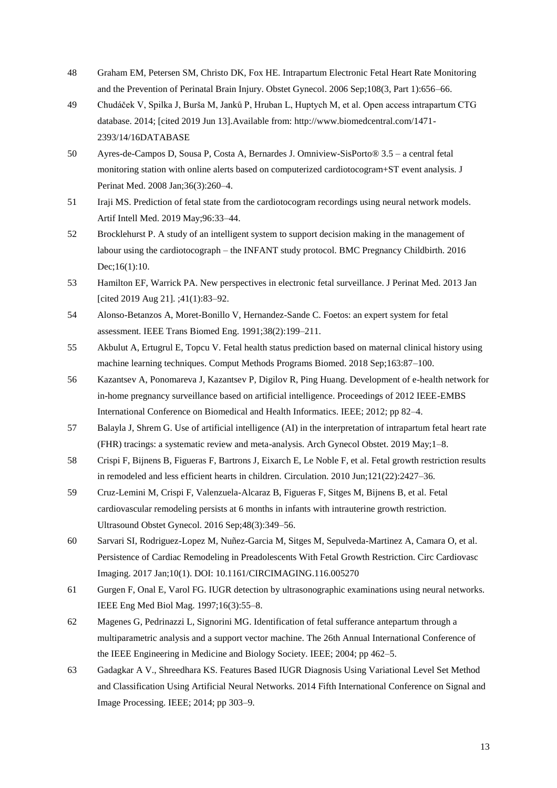- 48 Graham EM, Petersen SM, Christo DK, Fox HE. Intrapartum Electronic Fetal Heart Rate Monitoring and the Prevention of Perinatal Brain Injury. Obstet Gynecol. 2006 Sep;108(3, Part 1):656–66.
- 49 Chudáček V, Spilka J, Burša M, Janků P, Hruban L, Huptych M, et al. Open access intrapartum CTG database. 2014; [cited 2019 Jun 13].Available from: http://www.biomedcentral.com/1471- 2393/14/16DATABASE
- 50 Ayres-de-Campos D, Sousa P, Costa A, Bernardes J. Omniview-SisPorto® 3.5 a central fetal monitoring station with online alerts based on computerized cardiotocogram+ST event analysis. J Perinat Med. 2008 Jan;36(3):260–4.
- 51 Iraji MS. Prediction of fetal state from the cardiotocogram recordings using neural network models. Artif Intell Med. 2019 May;96:33–44.
- 52 Brocklehurst P. A study of an intelligent system to support decision making in the management of labour using the cardiotocograph – the INFANT study protocol. BMC Pregnancy Childbirth. 2016 Dec;16(1):10.
- 53 Hamilton EF, Warrick PA. New perspectives in electronic fetal surveillance. J Perinat Med. 2013 Jan [cited 2019 Aug 21]. ;41(1):83–92.
- 54 Alonso-Betanzos A, Moret-Bonillo V, Hernandez-Sande C. Foetos: an expert system for fetal assessment. IEEE Trans Biomed Eng. 1991;38(2):199–211.
- 55 Akbulut A, Ertugrul E, Topcu V. Fetal health status prediction based on maternal clinical history using machine learning techniques. Comput Methods Programs Biomed. 2018 Sep;163:87–100.
- 56 Kazantsev A, Ponomareva J, Kazantsev P, Digilov R, Ping Huang. Development of e-health network for in-home pregnancy surveillance based on artificial intelligence. Proceedings of 2012 IEEE-EMBS International Conference on Biomedical and Health Informatics. IEEE; 2012; pp 82–4.
- 57 Balayla J, Shrem G. Use of artificial intelligence (AI) in the interpretation of intrapartum fetal heart rate (FHR) tracings: a systematic review and meta-analysis. Arch Gynecol Obstet. 2019 May;1–8.
- 58 Crispi F, Bijnens B, Figueras F, Bartrons J, Eixarch E, Le Noble F, et al. Fetal growth restriction results in remodeled and less efficient hearts in children. Circulation. 2010 Jun;121(22):2427–36.
- 59 Cruz-Lemini M, Crispi F, Valenzuela-Alcaraz B, Figueras F, Sitges M, Bijnens B, et al. Fetal cardiovascular remodeling persists at 6 months in infants with intrauterine growth restriction. Ultrasound Obstet Gynecol. 2016 Sep;48(3):349–56.
- 60 Sarvari SI, Rodriguez-Lopez M, Nuñez-Garcia M, Sitges M, Sepulveda-Martinez A, Camara O, et al. Persistence of Cardiac Remodeling in Preadolescents With Fetal Growth Restriction. Circ Cardiovasc Imaging. 2017 Jan;10(1). DOI: 10.1161/CIRCIMAGING.116.005270
- 61 Gurgen F, Onal E, Varol FG. IUGR detection by ultrasonographic examinations using neural networks. IEEE Eng Med Biol Mag. 1997;16(3):55–8.
- 62 Magenes G, Pedrinazzi L, Signorini MG. Identification of fetal sufferance antepartum through a multiparametric analysis and a support vector machine. The 26th Annual International Conference of the IEEE Engineering in Medicine and Biology Society. IEEE; 2004; pp 462–5.
- 63 Gadagkar A V., Shreedhara KS. Features Based IUGR Diagnosis Using Variational Level Set Method and Classification Using Artificial Neural Networks. 2014 Fifth International Conference on Signal and Image Processing. IEEE; 2014; pp 303–9.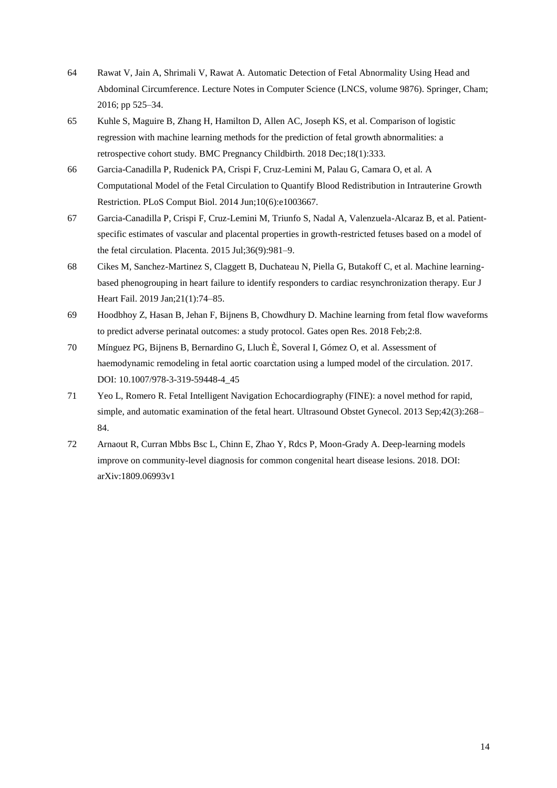- 64 Rawat V, Jain A, Shrimali V, Rawat A. Automatic Detection of Fetal Abnormality Using Head and Abdominal Circumference. Lecture Notes in Computer Science (LNCS, volume 9876). Springer, Cham; 2016; pp 525–34.
- 65 Kuhle S, Maguire B, Zhang H, Hamilton D, Allen AC, Joseph KS, et al. Comparison of logistic regression with machine learning methods for the prediction of fetal growth abnormalities: a retrospective cohort study. BMC Pregnancy Childbirth. 2018 Dec;18(1):333.
- 66 Garcia-Canadilla P, Rudenick PA, Crispi F, Cruz-Lemini M, Palau G, Camara O, et al. A Computational Model of the Fetal Circulation to Quantify Blood Redistribution in Intrauterine Growth Restriction. PLoS Comput Biol. 2014 Jun;10(6):e1003667.
- 67 Garcia-Canadilla P, Crispi F, Cruz-Lemini M, Triunfo S, Nadal A, Valenzuela-Alcaraz B, et al. Patientspecific estimates of vascular and placental properties in growth-restricted fetuses based on a model of the fetal circulation. Placenta. 2015 Jul;36(9):981–9.
- 68 Cikes M, Sanchez-Martinez S, Claggett B, Duchateau N, Piella G, Butakoff C, et al. Machine learningbased phenogrouping in heart failure to identify responders to cardiac resynchronization therapy. Eur J Heart Fail. 2019 Jan;21(1):74–85.
- 69 Hoodbhoy Z, Hasan B, Jehan F, Bijnens B, Chowdhury D. Machine learning from fetal flow waveforms to predict adverse perinatal outcomes: a study protocol. Gates open Res. 2018 Feb;2:8.
- 70 Mínguez PG, Bijnens B, Bernardino G, Lluch È, Soveral I, Gómez O, et al. Assessment of haemodynamic remodeling in fetal aortic coarctation using a lumped model of the circulation. 2017. DOI: 10.1007/978-3-319-59448-4\_45
- 71 Yeo L, Romero R. Fetal Intelligent Navigation Echocardiography (FINE): a novel method for rapid, simple, and automatic examination of the fetal heart. Ultrasound Obstet Gynecol. 2013 Sep;42(3):268– 84.
- 72 Arnaout R, Curran Mbbs Bsc L, Chinn E, Zhao Y, Rdcs P, Moon-Grady A. Deep-learning models improve on community-level diagnosis for common congenital heart disease lesions. 2018. DOI: arXiv:1809.06993v1